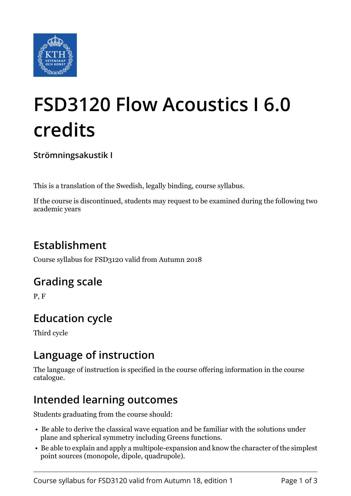

# **FSD3120 Flow Acoustics I 6.0 credits**

**Strömningsakustik I**

This is a translation of the Swedish, legally binding, course syllabus.

If the course is discontinued, students may request to be examined during the following two academic years

# **Establishment**

Course syllabus for FSD3120 valid from Autumn 2018

## **Grading scale**

P, F

## **Education cycle**

Third cycle

#### **Language of instruction**

The language of instruction is specified in the course offering information in the course catalogue.

## **Intended learning outcomes**

Students graduating from the course should:

- Be able to derive the classical wave equation and be familiar with the solutions under plane and spherical symmetry including Greens functions.
- Be able to explain and apply a multipole-expansion and know the character of the simplest point sources (monopole, dipole, quadrupole).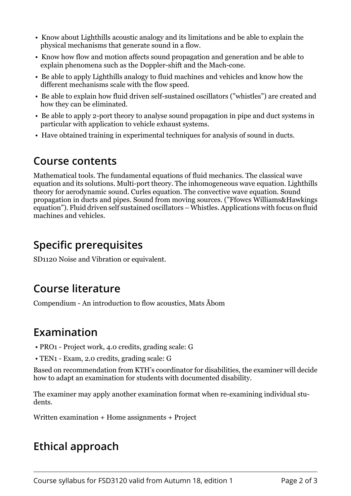- Know about Lighthills acoustic analogy and its limitations and be able to explain the physical mechanisms that generate sound in a flow.
- Know how flow and motion affects sound propagation and generation and be able to explain phenomena such as the Doppler-shift and the Mach-cone.
- Be able to apply Lighthills analogy to fluid machines and vehicles and know how the different mechanisms scale with the flow speed.
- Be able to explain how fluid driven self-sustained oscillators ("whistles") are created and how they can be eliminated.
- Be able to apply 2-port theory to analyse sound propagation in pipe and duct systems in particular with application to vehicle exhaust systems.
- Have obtained training in experimental techniques for analysis of sound in ducts.

#### **Course contents**

Mathematical tools. The fundamental equations of fluid mechanics. The classical wave equation and its solutions. Multi-port theory. The inhomogeneous wave equation. Lighthills theory for aerodynamic sound. Curles equation. The convective wave equation. Sound propagation in ducts and pipes. Sound from moving sources. ("Ffowcs Williams&Hawkings equation"). Fluid driven self sustained oscillators – Whistles. Applications with focus on fluid machines and vehicles.

## **Specific prerequisites**

SD1120 Noise and Vibration or equivalent.

#### **Course literature**

Compendium - An introduction to flow acoustics, Mats Åbom

#### **Examination**

- PRO1 Project work, 4.0 credits, grading scale: G
- TEN1 Exam, 2.0 credits, grading scale: G

Based on recommendation from KTH's coordinator for disabilities, the examiner will decide how to adapt an examination for students with documented disability.

The examiner may apply another examination format when re-examining individual students.

Written examination + Home assignments + Project

## **Ethical approach**